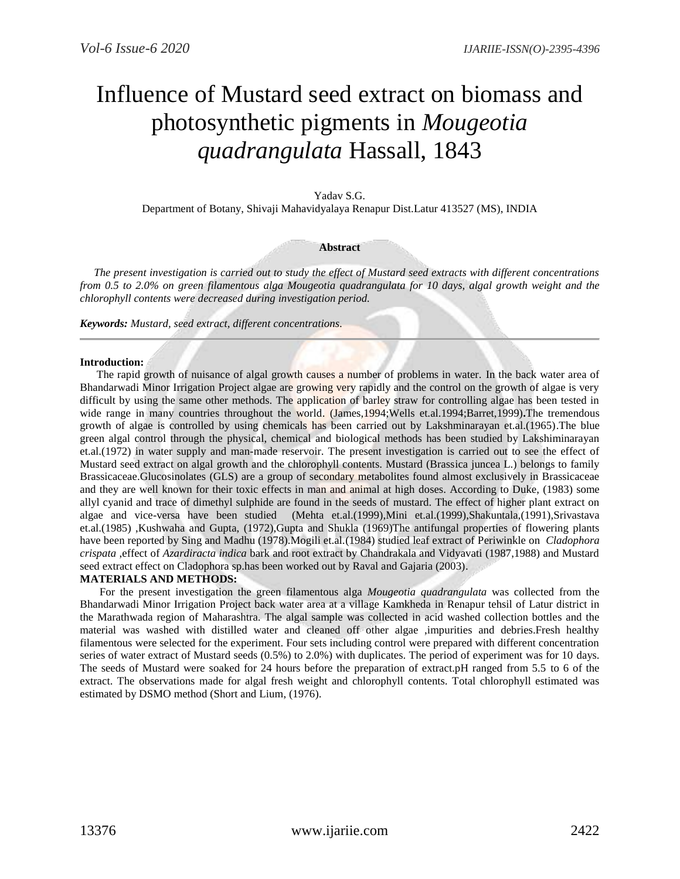# Influence of Mustard seed extract on biomass and photosynthetic pigments in *Mougeotia quadrangulata* Hassall, 1843

## Yadav S.G.

Department of Botany, Shivaji Mahavidyalaya Renapur Dist.Latur 413527 (MS), INDIA

#### **Abstract**

 *The present investigation is carried out to study the effect of Mustard seed extracts with different concentrations from 0.5 to 2.0% on green filamentous alga Mougeotia quadrangulata for 10 days, algal growth weight and the chlorophyll contents were decreased during investigation period.*

*Keywords: Mustard, seed extract, different concentrations*.

#### **Introduction:**

The rapid growth of nuisance of algal growth causes a number of problems in water. In the back water area of Bhandarwadi Minor Irrigation Project algae are growing very rapidly and the control on the growth of algae is very difficult by using the same other methods. The application of barley straw for controlling algae has been tested in wide range in many countries throughout the world. (James,1994;Wells et.al.1994;Barret,1999)**.**The tremendous growth of algae is controlled by using chemicals has been carried out by Lakshminarayan et.al.(1965).The blue green algal control through the physical, chemical and biological methods has been studied by Lakshiminarayan et.al.(1972) in water supply and man-made reservoir. The present investigation is carried out to see the effect of Mustard seed extract on algal growth and the chlorophyll contents. Mustard (Brassica juncea L.) belongs to family Brassicaceae.Glucosinolates (GLS) are a group of secondary metabolites found almost exclusively in Brassicaceae and they are well known for their toxic effects in man and animal at high doses. According to Duke, (1983) some allyl cyanid and trace of dimethyl sulphide are found in the seeds of mustard. The effect of higher plant extract on algae and vice-versa have been studied (Mehta et.al.(1999),Mini et.al.(1999),Shakuntala,(1991),Srivastava et.al.(1985) ,Kushwaha and Gupta, (1972),Gupta and Shukla (1969)The antifungal properties of flowering plants have been reported by Sing and Madhu (1978).Mogili et.al.(1984) studied leaf extract of Periwinkle on *Cladophora crispata* ,effect of *Azardiracta indica* bark and root extract by Chandrakala and Vidyavati (1987,1988) and Mustard seed extract effect on Cladophora sp.has been worked out by Raval and Gajaria (2003).

## **MATERIALS AND METHODS:**

For the present investigation the green filamentous alga *Mougeotia quadrangulata* was collected from the Bhandarwadi Minor Irrigation Project back water area at a village Kamkheda in Renapur tehsil of Latur district in the Marathwada region of Maharashtra. The algal sample was collected in acid washed collection bottles and the material was washed with distilled water and cleaned off other algae ,impurities and debries.Fresh healthy filamentous were selected for the experiment. Four sets including control were prepared with different concentration series of water extract of Mustard seeds (0.5%) to 2.0%) with duplicates. The period of experiment was for 10 days. The seeds of Mustard were soaked for 24 hours before the preparation of extract.pH ranged from 5.5 to 6 of the extract. The observations made for algal fresh weight and chlorophyll contents. Total chlorophyll estimated was estimated by DSMO method (Short and Lium, (1976).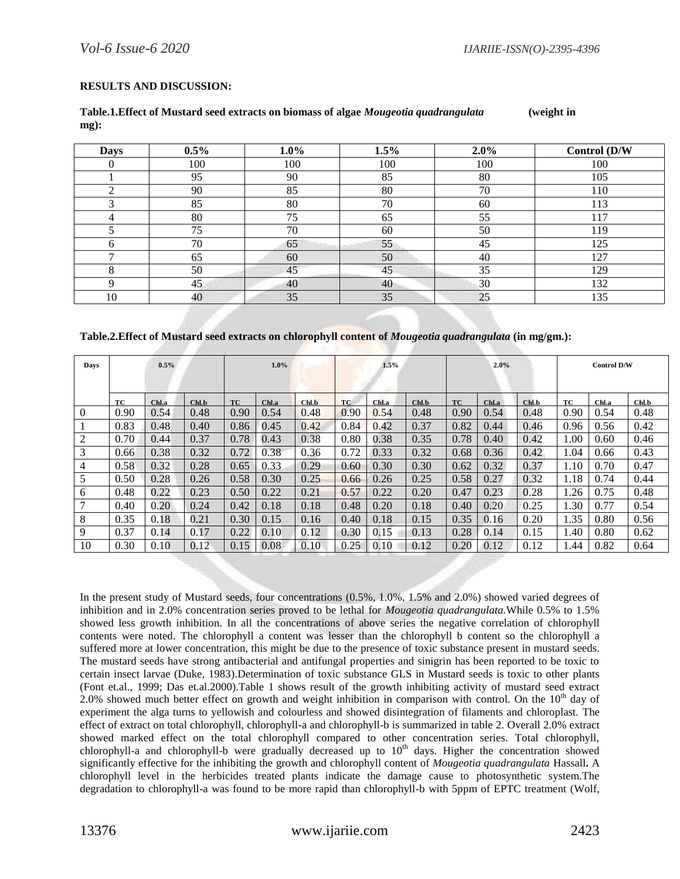## **RESULTS AND DISCUSSION:**

#### **Table.1.Effect of Mustard seed extracts on biomass of algae** *Mougeotia quadrangulata* **(weight in mg):**

| <b>Days</b>  | $0.5\%$ | $1.0\%$ | 1.5% | $2.0\%$ | Control (D/W |  |
|--------------|---------|---------|------|---------|--------------|--|
| ν            | 100     | 100     | 100  | 100     | 100          |  |
|              | 95      | 90      | 85   | 80      | 105          |  |
| ◠            | 90      | 85      | 80   | 70      | 110          |  |
| $\sim$       | 85      | 80      | 70   | 60      | 113          |  |
| 4            | 80      | 75      | 65   | 55      | 117          |  |
|              | 75      | 70      | 60   | 50      | 119          |  |
| <sub>0</sub> | 70      | 65      | 55   | 45      | 125          |  |
| −            | 65      | 60      | 50   | 40      | 127          |  |
| 8            | 50      | 45      | 45   | 35      | 129          |  |
|              | 45      | 40      | 40   | 30      | 132          |  |
| 10           | 40      | 35      | 35   | 25      | 135          |  |

## **Table.2.Effect of Mustard seed extracts on chlorophyll content of** *Mougeotia quadrangulata* **(in mg/gm.):**

| Days     | $0.5\%$ |       |       | 1.0%      |       | 1.5%  |           | 2.0%  |       |           | <b>Control D/W</b> |       |      |       |       |
|----------|---------|-------|-------|-----------|-------|-------|-----------|-------|-------|-----------|--------------------|-------|------|-------|-------|
|          |         |       |       |           |       |       |           |       |       |           |                    |       |      |       |       |
|          | ТC      | Chl.a | Chl.b | <b>TC</b> | Chl.a | Chl.b | <b>TC</b> | Chl.a | Chl.b | <b>TC</b> | Chl.a              | Chl.b | ТC   | Chl.a | Chl.b |
| $\Omega$ | 0.90    | 0.54  | 0.48  | 0.90      | 0.54  | 0.48  | 0.90      | 0.54  | 0.48  | 0.90      | 0.54               | 0.48  | 0.90 | 0.54  | 0.48  |
|          | 0.83    | 0.48  | 0.40  | 0.86      | 0.45  | 0.42  | 0.84      | 0.42  | 0.37  | 0.82      | 0.44               | 0.46  | 0.96 | 0.56  | 0.42  |
| 2        | 0.70    | 0.44  | 0.37  | 0.78      | 0.43  | 0.38  | 0.80      | 0.38  | 0.35  | 0.78      | 0.40               | 0.42  | 1.00 | 0.60  | 0.46  |
| 3        | 0.66    | 0.38  | 0.32  | 0.72      | 0.38  | 0.36  | 0.72      | 0.33  | 0.32  | 0.68      | 0.36               | 0.42  | 1.04 | 0.66  | 0.43  |
| 4        | 0.58    | 0.32  | 0.28  | 0.65      | 0.33  | 0.29  | 0.60      | 0.30  | 0.30  | 0.62      | 0.32               | 0.37  | 1.10 | 0.70  | 0.47  |
| 5        | 0.50    | 0.28  | 0.26  | 0.58      | 0.30  | 0.25  | 0.66      | 0.26  | 0.25  | 0.58      | 0.27               | 0.32  | 1.18 | 0.74  | 0.44  |
| 6        | 0.48    | 0.22  | 0.23  | 0.50      | 0.22  | 0.21  | 0.57      | 0.22  | 0.20  | 0.47      | 0.23               | 0.28  | 1.26 | 0.75  | 0.48  |
|          | 0.40    | 0.20  | 0.24  | 0.42      | 0.18  | 0.18  | 0.48      | 0.20  | 0.18  | 0.40      | 0.20               | 0.25  | 1.30 | 0.77  | 0.54  |
| 8        | 0.35    | 0.18  | 0.21  | 0.30      | 0.15  | 0.16  | 0.40      | 0.18  | 0.15  | 0.35      | 0.16               | 0.20  | 1.35 | 0.80  | 0.56  |
| 9        | 0.37    | 0.14  | 0.17  | 0.22      | 0.10  | 0.12  | 0.30      | 0.15  | 0.13  | 0.28      | 0.14               | 0.15  | 1.40 | 0.80  | 0.62  |
| 10       | 0.30    | 0.10  | 0.12  | 0.15      | 0.08  | 0.10  | 0.25      | 0.10  | 0.12  | 0.20      | 0.12               | 0.12  | l.44 | 0.82  | 0.64  |

In the present study of Mustard seeds, four concentrations (0.5%, 1.0%, 1.5% and 2.0%) showed varied degrees of inhibition and in 2.0% concentration series proved to be lethal for *Mougeotia quadrangulata.*While 0.5% to 1.5% showed less growth inhibition. In all the concentrations of above series the negative correlation of chlorophyll contents were noted. The chlorophyll a content was lesser than the chlorophyll b content so the chlorophyll a suffered more at lower concentration, this might be due to the presence of toxic substance present in mustard seeds. The mustard seeds have strong antibacterial and antifungal properties and sinigrin has been reported to be toxic to certain insect larvae (Duke, 1983).Determination of toxic substance GLS in Mustard seeds is toxic to other plants (Font et.al., 1999; Das et.al.2000).Table 1 shows result of the growth inhibiting activity of mustard seed extract 2.0% showed much better effect on growth and weight inhibition in comparison with control. On the  $10<sup>th</sup>$  day of experiment the alga turns to yellowish and colourless and showed disintegration of filaments and chloroplast. The effect of extract on total chlorophyll, chlorophyll-a and chlorophyll-b is summarized in table 2. Overall 2.0% extract showed marked effect on the total chlorophyll compared to other concentration series. Total chlorophyll, chlorophyll-a and chlorophyll-b were gradually decreased up to 10<sup>th</sup> days. Higher the concentration showed significantly effective for the inhibiting the growth and chlorophyll content of *Mougeotia quadrangulata* Hassall**.** A chlorophyll level in the herbicides treated plants indicate the damage cause to photosynthetic system.The degradation to chlorophyll-a was found to be more rapid than chlorophyll-b with 5ppm of EPTC treatment (Wolf,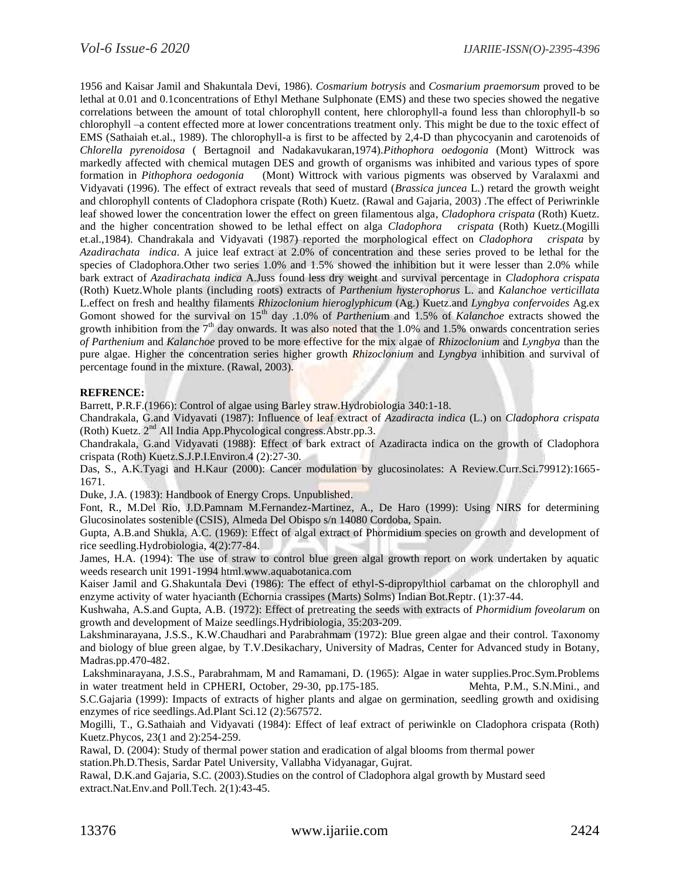1956 and Kaisar Jamil and Shakuntala Devi, 1986). *Cosmarium botrysis* and *Cosmarium praemorsum* proved to be lethal at 0.01 and 0.1concentrations of Ethyl Methane Sulphonate (EMS) and these two species showed the negative correlations between the amount of total chlorophyll content, here chlorophyll-a found less than chlorophyll-b so chlorophyll –a content effected more at lower concentrations treatment only. This might be due to the toxic effect of EMS (Sathaiah et.al., 1989). The chlorophyll-a is first to be affected by 2,4-D than phycocyanin and carotenoids of *Chlorella pyrenoidosa* ( Bertagnoil and Nadakavukaran,1974).*Pithophora oedogonia* (Mont) Wittrock was markedly affected with chemical mutagen DES and growth of organisms was inhibited and various types of spore formation in *Pithophora oedogonia* (Mont) Wittrock with various pigments was observed by Varalaxmi and Vidyavati (1996). The effect of extract reveals that seed of mustard (*Brassica juncea* L.) retard the growth weight and chlorophyll contents of Cladophora crispate (Roth) Kuetz. (Rawal and Gajaria, 2003) .The effect of Periwrinkle leaf showed lower the concentration lower the effect on green filamentous alga, *Cladophora crispata* (Roth) Kuetz. and the higher concentration showed to be lethal effect on alga *Cladophora crispata* (Roth) Kuetz.(Mogilli et.al.,1984). Chandrakala and Vidyavati (1987) reported the morphological effect on *Cladophora crispata* by *Azadirachata indica*. A juice leaf extract at 2.0% of concentration and these series proved to be lethal for the species of Cladophora.Other two series 1.0% and 1.5% showed the inhibition but it were lesser than 2.0% while bark extract of *Azadirachata indica* A.Juss found less dry weight and survival percentage in *Cladophora crispata* (Roth) Kuetz.Whole plants (including roots) extracts of *Parthenium hysterophorus* L. and *Kalanchoe verticillata* L.effect on fresh and healthy filaments *Rhizoclonium hieroglyphicum* (Ag.) Kuetz.and *Lyngbya confervoides* Ag.ex Gomont showed for the survival on 15<sup>th</sup> day .1.0% of *Parthenium* and 1.5% of *Kalanchoe* extracts showed the growth inhibition from the 7<sup>th</sup> day onwards. It was also noted that the 1.0% and 1.5% onwards concentration series *of Parthenium* and *Kalanchoe* proved to be more effective for the mix algae of *Rhizoclonium* and *Lyngbya* than the pure algae. Higher the concentration series higher growth *Rhizoclonium* and *Lyngbya* inhibition and survival of percentage found in the mixture. (Rawal, 2003).

## **REFRENCE:**

Barrett, P.R.F.(1966): Control of algae using Barley straw.Hydrobiologia 340:1-18.

Chandrakala, G.and Vidyavati (1987): Influence of leaf extract of *Azadiracta indica* (L.) on *Cladophora crispata* (Roth) Kuetz. 2nd All India App.Phycological congress.Abstr.pp.3.

Chandrakala, G.and Vidyavati (1988): Effect of bark extract of Azadiracta indica on the growth of Cladophora crispata (Roth) Kuetz.S.J.P.I.Environ.4 (2):27-30.

Das, S., A.K.Tyagi and H.Kaur (2000): Cancer modulation by glucosinolates: A Review.Curr.Sci.79912):1665- 1671.

Duke, J.A. (1983): Handbook of Energy Crops. Unpublished.

Font, R., M.Del Rio, J.D.Pamnam M.Fernandez-Martinez, A., De Haro (1999): Using NIRS for determining Glucosinolates sostenible (CSIS), Almeda Del Obispo s/n 14080 Cordoba, Spain.

Gupta, A.B.and Shukla, A.C. (1969): Effect of algal extract of Phormidium species on growth and development of rice seedling.Hydrobiologia, 4(2):77-84.

James, H.A. (1994): The use of straw to control blue green algal growth report on work undertaken by aquatic weeds research unit 1991-1994 html.www.aquabotanica.com

Kaiser Jamil and G.Shakuntala Devi (1986): The effect of ethyl-S-dipropylthiol carbamat on the chlorophyll and enzyme activity of water hyacianth (Echornia crassipes (Marts) Solms) Indian Bot.Reptr. (1):37-44.

Kushwaha, A.S.and Gupta, A.B. (1972): Effect of pretreating the seeds with extracts of *Phormidium foveolarum* on growth and development of Maize seedlings.Hydribiologia, 35:203-209.

Lakshminarayana, J.S.S., K.W.Chaudhari and Parabrahmam (1972): Blue green algae and their control. Taxonomy and biology of blue green algae, by T.V.Desikachary, University of Madras, Center for Advanced study in Botany, Madras.pp.470-482.

Lakshminarayana, J.S.S., Parabrahmam, M and Ramamani, D. (1965): Algae in water supplies.Proc.Sym.Problems in water treatment held in CPHERI, October, 29-30, pp.175-185. Mehta, P.M., S.N.Mini., and

S.C.Gajaria (1999): Impacts of extracts of higher plants and algae on germination, seedling growth and oxidising enzymes of rice seedlings.Ad.Plant Sci.12 (2):567572.

Mogilli, T., G.Sathaiah and Vidyavati (1984): Effect of leaf extract of periwinkle on Cladophora crispata (Roth) Kuetz.Phycos, 23(1 and 2):254-259.

Rawal, D. (2004): Study of thermal power station and eradication of algal blooms from thermal power station.Ph.D.Thesis, Sardar Patel University, Vallabha Vidyanagar, Gujrat.

Rawal, D.K.and Gajaria, S.C. (2003).Studies on the control of Cladophora algal growth by Mustard seed extract.Nat.Env.and Poll.Tech. 2(1):43-45.